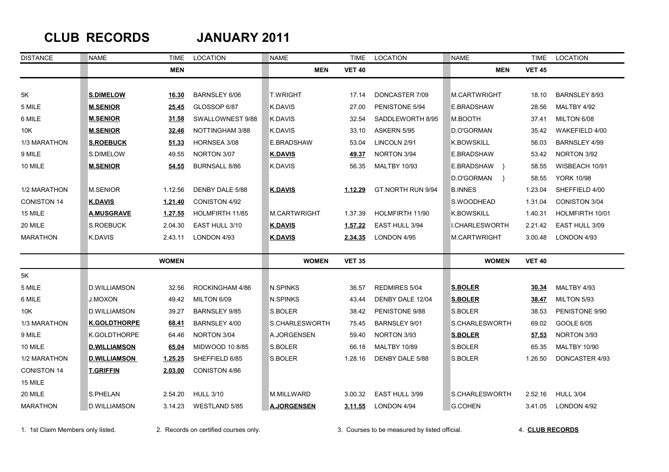## **CLUB RECORDS JANUARY 2011**

| <b>DISTANCE</b>    | <b>NAME</b>         | TIME         | LOCATION             | <b>NAME</b>        | TIME          | LOCATION             | <b>NAME</b>           | <b>TIME</b>   | LOCATION             |
|--------------------|---------------------|--------------|----------------------|--------------------|---------------|----------------------|-----------------------|---------------|----------------------|
|                    |                     | <b>MEN</b>   |                      | <b>MEN</b>         | <b>VET 40</b> |                      | <b>MEN</b>            | <b>VET 45</b> |                      |
|                    |                     |              |                      |                    |               |                      |                       |               |                      |
| 5K                 | <b>S.DIMELOW</b>    | 16.30        | <b>BARNSLEY 6/06</b> | <b>T.WRIGHT</b>    | 17.14         | DONCASTER 7/09       | M.CARTWRIGHT          | 18.10         | <b>BARNSLEY 8/93</b> |
| 5 MILE             | <b>M.SENIOR</b>     | 25.45        | GLOSSOP 6/87         | K.DAVIS            | 27.00         | PENISTONE 5/94       | E.BRADSHAW            | 28.56         | MALTBY 4/92          |
| 6 MILE             | <b>M.SENIOR</b>     | 31.58        | SWALLOWNEST 9/88     | K.DAVIS            | 32.54         | SADDLEWORTH 8/95     | M.BOOTH               | 37.41         | MILTON 6/08          |
| 10K                | <b>M.SENIOR</b>     | 32.46        | NOTTINGHAM 3/88      | K.DAVIS            | 33.10         | ASKERN 5/95          | D.O'GORMAN            | 35.42         | WAKEFIELD 4/00       |
| 1/3 MARATHON       | <b>S.ROEBUCK</b>    | 51.33        | HORNSEA 3/08         | E.BRADSHAW         | 53.04         | LINCOLN 2/91         | <b>K.BOWSKILL</b>     | 56.03         | <b>BARNSLEY 4/99</b> |
| 9 MILE             | S.DIMELOW           | 49.55        | NORTON 3/07          | <b>K.DAVIS</b>     | 49.37         | NORTON 3/94          | E.BRADSHAW            | 53.42         | NORTON 3/92          |
| 10 MILE            | <b>M.SENIOR</b>     | 54.55        | <b>BURNSALL 8/86</b> | K.DAVIS            | 56.35         | <b>MALTBY 10/93</b>  | E.BRADSHAW }          | 58.55         | WISBEACH 10/91       |
|                    |                     |              |                      |                    |               |                      | D.O'GORMAN<br>$\}$    | 58.55         | <b>YORK 10/98</b>    |
| 1/2 MARATHON       | <b>M.SENIOR</b>     | 1.12.56      | DENBY DALE 5/88      | <b>K.DAVIS</b>     | 1.12.29       | GT.NORTH RUN 9/94    | <b>B.INNES</b>        | 1.23.04       | SHEFFIELD 4/00       |
| <b>CONISTON 14</b> | <b>K.DAVIS</b>      | 1.21.40      | <b>CONISTON 4/92</b> |                    |               |                      | S.WOODHEAD            | 1.31.04       | <b>CONISTON 3/04</b> |
| 15 MILE            | <b>A.MUSGRAVE</b>   | 1.27.55      | HOLMFIRTH 11/85      | M.CARTWRIGHT       | 1.37.39       | HOLMFIRTH 11/90      | <b>K.BOWSKILL</b>     | 1.40.31       | HOLMFIRTH 10/01      |
| 20 MILE            | S.ROEBUCK           | 2.04.30      | EAST HULL 3/10       | <b>K.DAVIS</b>     | 1.57.22       | EAST HULL 3/94       | <b>I.CHARLESWORTH</b> | 2.21.42       | EAST HULL 3/09       |
| <b>MARATHON</b>    | <b>K.DAVIS</b>      | 2.43.11      | LONDON 4/93          | <b>K.DAVIS</b>     | 2.34.35       | LONDON 4/95          | M.CARTWRIGHT          | 3.00.48       | LONDON 4/93          |
|                    |                     | <b>WOMEN</b> |                      | <b>WOMEN</b>       | <b>VET 35</b> |                      | <b>WOMEN</b>          | <b>VET 40</b> |                      |
| 5K                 |                     |              |                      |                    |               |                      |                       |               |                      |
| 5 MILE             | <b>D.WILLIAMSON</b> | 32.56        | ROCKINGHAM 4/86      | N.SPINKS           | 36.57         | REDMIRES 5/04        | <b>S.BOLER</b>        | 30.34         | MALTBY 4/93          |
| 6 MILE             | <b>J.MOXON</b>      | 49.42        | MILTON 6/09          | N.SPINKS           | 43.44         | DENBY DALE 12/04     | <b>S.BOLER</b>        | 38.47         | MILTON 5/93          |
| 10K                | D.WILLIAMSON        | 39.27        | <b>BARNSLEY 9/85</b> | S.BOLER            | 38.42         | PENISTONE 9/88       | S.BOLER               | 38.53         | PENISTONE 9/90       |
| 1/3 MARATHON       | <b>K.GOLDTHORPE</b> | 68.41        | BARNSLEY 4/00        | S.CHARLESWORTH     | 75.45         | <b>BARNSLEY 9/01</b> | S.CHARLESWORTH        | 69.02         | <b>GOOLE 6/05</b>    |
| 9 MILE             | K.GOLDTHORPE        | 64.46        | NORTON 3/04          | A.JORGENSEN        | 59.40         | NORTON 3/93          | <b>S.BOLER</b>        | 57.53         | NORTON 3/93          |
| 10 MILE            | <b>D.WILLIAMSON</b> | 65.04        | MIDWOOD 10 8/85      | S.BOLER            | 66.18         | <b>MALTBY 10/89</b>  | S.BOLER               | 65.35         | <b>MALTBY 10/90</b>  |
| 1/2 MARATHON       | <b>D.WILLIAMSON</b> | 1.25.25      | SHEFFIELD 6/85       | S.BOLER            | 1.28.16       | DENBY DALE 5/88      | S.BOLER               | 1.26.50       | DONCASTER 4/93       |
| <b>CONISTON 14</b> | <b>T.GRIFFIN</b>    | 2.03.00      | CONISTON 4/86        |                    |               |                      |                       |               |                      |
| 15 MILE            |                     |              |                      |                    |               |                      |                       |               |                      |
| 20 MILE            | S.PHELAN            | 2.54.20      | <b>HULL 3/10</b>     | M.MILLWARD         | 3.00.32       | EAST HULL 3/99       | S.CHARLESWORTH        | 2.52.16       | <b>HULL 3/04</b>     |
| <b>MARATHON</b>    | <b>D.WILLIAMSON</b> | 3.14.23      | WESTLAND 5/85        | <b>A.JORGENSEN</b> | 3.11.55       | <b>LONDON 4/94</b>   | G.COHEN               | 3.41.05       | LONDON 4/92          |

1. 1st Claim Members only listed. 2. Records on certified courses only. 3. Courses to be measured by listed official. 4. **CLUB RECORDS**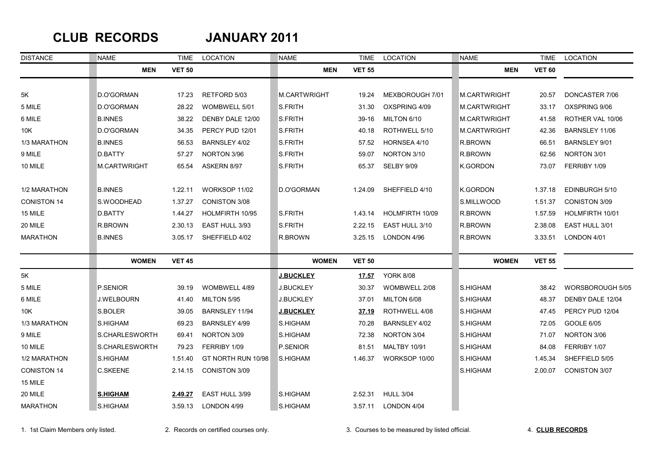### **CLUB RECORDS JANUARY 2011**

| <b>DISTANCE</b>    | <b>NAME</b>         | <b>TIME</b>   | LOCATION             | <b>NAME</b>         | <b>TIME</b>   | LOCATION            | <b>NAME</b>         | <b>TIME</b>   | LOCATION             |
|--------------------|---------------------|---------------|----------------------|---------------------|---------------|---------------------|---------------------|---------------|----------------------|
|                    | <b>MEN</b>          | <b>VET 50</b> |                      | <b>MEN</b>          | <b>VET 55</b> |                     | <b>MEN</b>          | <b>VET 60</b> |                      |
|                    |                     |               |                      |                     |               |                     |                     |               |                      |
| 5K                 | D.O'GORMAN          | 17.23         | RETFORD 5/03         | <b>M.CARTWRIGHT</b> | 19.24         | MEXBOROUGH 7/01     | M.CARTWRIGHT        | 20.57         | DONCASTER 7/06       |
| 5 MILE             | D.O'GORMAN          | 28.22         | WOMBWELL 5/01        | S.FRITH             | 31.30         | OXSPRING 4/09       | <b>M.CARTWRIGHT</b> | 33.17         | OXSPRING 9/06        |
| 6 MILE             | <b>B.INNES</b>      | 38.22         | DENBY DALE 12/00     | S.FRITH             | $39-16$       | MILTON 6/10         | <b>M.CARTWRIGHT</b> | 41.58         | ROTHER VAL 10/06     |
| 10K                | D.O'GORMAN          | 34.35         | PERCY PUD 12/01      | S.FRITH             | 40.18         | ROTHWELL 5/10       | <b>M.CARTWRIGHT</b> | 42.36         | BARNSLEY 11/06       |
| 1/3 MARATHON       | <b>B.INNES</b>      | 56.53         | BARNSLEY 4/02        | S.FRITH             | 57.52         | HORNSEA 4/10        | R.BROWN             | 66.51         | <b>BARNSLEY 9/01</b> |
| 9 MILE             | D.BATTY             | 57.27         | NORTON 3/96          | S.FRITH             | 59.07         | NORTON 3/10         | R.BROWN             | 62.56         | NORTON 3/01          |
| 10 MILE            | <b>M.CARTWRIGHT</b> | 65.54         | ASKERN 8/97          | S.FRITH             | 65.37         | SELBY 9/09          | <b>K.GORDON</b>     | 73.07         | FERRIBY 1/09         |
| 1/2 MARATHON       | <b>B.INNES</b>      | 1.22.11       | WORKSOP 11/02        | D.O'GORMAN          | 1.24.09       | SHEFFIELD 4/10      | <b>K.GORDON</b>     | 1.37.18       | EDINBURGH 5/10       |
| <b>CONISTON 14</b> | <b>S.WOODHEAD</b>   | 1.37.27       | <b>CONISTON 3/08</b> |                     |               |                     | S.MILLWOOD          | 1.51.37       | <b>CONISTON 3/09</b> |
| 15 MILE            | D.BATTY             | 1.44.27       | HOLMFIRTH 10/95      | S.FRITH             | 1.43.14       | HOLMFIRTH 10/09     | R.BROWN             | 1.57.59       | HOLMFIRTH 10/01      |
| 20 MILE            | R.BROWN             | 2.30.13       | EAST HULL 3/93       | <b>S.FRITH</b>      | 2.22.15       | EAST HULL 3/10      | R.BROWN             | 2.38.08       | EAST HULL 3/01       |
| <b>MARATHON</b>    | <b>B.INNES</b>      | 3.05.17       | SHEFFIELD 4/02       | R.BROWN             | 3.25.15       | LONDON 4/96         | R.BROWN             | 3.33.51       | LONDON 4/01          |
|                    | <b>WOMEN</b>        | <b>VET 45</b> |                      | <b>WOMEN</b>        | <b>VET 50</b> |                     | <b>WOMEN</b>        | <b>VET 55</b> |                      |
| 5K                 |                     |               |                      | <b>J.BUCKLEY</b>    | 17.57         | <b>YORK 8/08</b>    |                     |               |                      |
| 5 MILE             | P.SENIOR            | 39.19         | WOMBWELL 4/89        | <b>J.BUCKLEY</b>    | 30.37         | WOMBWELL 2/08       | S.HIGHAM            | 38.42         | WORSBOROUGH 5/05     |
| 6 MILE             | <b>J.WELBOURN</b>   | 41.40         | MILTON 5/95          | <b>J.BUCKLEY</b>    | 37.01         | MILTON 6/08         | <b>S.HIGHAM</b>     | 48.37         | DENBY DALE 12/04     |
| 10K                | S.BOLER             | 39.05         | BARNSLEY 11/94       | <b>J.BUCKLEY</b>    | 37.19         | ROTHWELL 4/08       | S.HIGHAM            | 47.45         | PERCY PUD 12/04      |
| 1/3 MARATHON       | S.HIGHAM            | 69.23         | <b>BARNSLEY 4/99</b> | S.HIGHAM            | 70.28         | BARNSLEY 4/02       | <b>S.HIGHAM</b>     | 72.05         | GOOLE 6/05           |
| 9 MILE             | S.CHARLESWORTH      | 69.41         | NORTON 3/09          | S.HIGHAM            | 72.38         | NORTON 3/04         | <b>S.HIGHAM</b>     | 71.07         | NORTON 3/06          |
| 10 MILE            | S.CHARLESWORTH      | 79.23         | FERRIBY 1/09         | P.SENIOR            | 81.51         | <b>MALTBY 10/91</b> | S.HIGHAM            | 84.08         | FERRIBY 1/07         |
| 1/2 MARATHON       | S.HIGHAM            | 1.51.40       | GT NORTH RUN 10/98   | S.HIGHAM            | 1.46.37       | WORKSOP 10/00       | S.HIGHAM            | 1.45.34       | SHEFFIELD 5/05       |
| <b>CONISTON 14</b> | <b>C.SKEENE</b>     | 2.14.15       | <b>CONISTON 3/09</b> |                     |               |                     | S.HIGHAM            | 2.00.07       | CONISTON 3/07        |
| 15 MILE            |                     |               |                      |                     |               |                     |                     |               |                      |
| 20 MILE            | <b>S.HIGHAM</b>     | 2.49.27       | EAST HULL 3/99       | S.HIGHAM            | 2.52.31       | <b>HULL 3/04</b>    |                     |               |                      |
| <b>MARATHON</b>    | S.HIGHAM            | 3.59.13       | LONDON 4/99          | S.HIGHAM            | 3.57.11       | LONDON 4/04         |                     |               |                      |

1. 1st Claim Members only listed. 2. Records on certified courses only. 3. Courses to be measured by listed official. 4. **CLUB RECORDS**